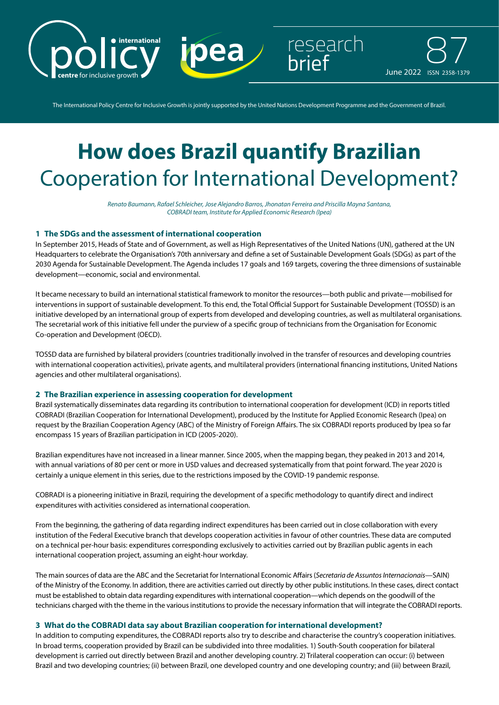

The International Policy Centre for Inclusive Growth is jointly supported by the United Nations Development Programme and the Government of Brazil.

# **How does Brazil quantify Brazilian**  Cooperation for International Development?

*Renato Baumann, Rafael Schleicher, Jose Alejandro Barros, Jhonatan Ferreira and Priscilla Mayna Santana, COBRADI team, Institute for Applied Economic Research (Ipea)*

## **1 The SDGs and the assessment of international cooperation**

In September 2015, Heads of State and of Government, as well as High Representatives of the United Nations (UN), gathered at the UN Headquarters to celebrate the Organisation's 70th anniversary and define a set of Sustainable Development Goals (SDGs) as part of the 2030 Agenda for Sustainable Development. The Agenda includes 17 goals and 169 targets, covering the three dimensions of sustainable development—economic, social and environmental.

It became necessary to build an international statistical framework to monitor the resources—both public and private—mobilised for interventions in support of sustainable development. To this end, the Total Official Support for Sustainable Development (TOSSD) is an initiative developed by an international group of experts from developed and developing countries, as well as multilateral organisations. The secretarial work of this initiative fell under the purview of a specific group of technicians from the Organisation for Economic Co-operation and Development (OECD).

TOSSD data are furnished by bilateral providers (countries traditionally involved in the transfer of resources and developing countries with international cooperation activities), private agents, and multilateral providers (international financing institutions, United Nations agencies and other multilateral organisations).

#### **2 The Brazilian experience in assessing cooperation for development**

Brazil systematically disseminates data regarding its contribution to international cooperation for development (ICD) in reports titled COBRADI (Brazilian Cooperation for International Development), produced by the Institute for Applied Economic Research (Ipea) on request by the Brazilian Cooperation Agency (ABC) of the Ministry of Foreign Affairs. The six COBRADI reports produced by Ipea so far encompass 15 years of Brazilian participation in ICD (2005-2020).

Brazilian expenditures have not increased in a linear manner. Since 2005, when the mapping began, they peaked in 2013 and 2014, with annual variations of 80 per cent or more in USD values and decreased systematically from that point forward. The year 2020 is certainly a unique element in this series, due to the restrictions imposed by the COVID-19 pandemic response.

COBRADI is a pioneering initiative in Brazil, requiring the development of a specific methodology to quantify direct and indirect expenditures with activities considered as international cooperation.

From the beginning, the gathering of data regarding indirect expenditures has been carried out in close collaboration with every institution of the Federal Executive branch that develops cooperation activities in favour of other countries. These data are computed on a technical per-hour basis: expenditures corresponding exclusively to activities carried out by Brazilian public agents in each international cooperation project, assuming an eight-hour workday.

The main sources of data are the ABC and the Secretariat for International Economic Affairs (*Secretaria de Assuntos Internacionais—*SAIN) of the Ministry of the Economy. In addition, there are activities carried out directly by other public institutions. In these cases, direct contact must be established to obtain data regarding expenditures with international cooperation—which depends on the goodwill of the technicians charged with the theme in the various institutions to provide the necessary information that will integrate the COBRADI reports.

## **3 What do the COBRADI data say about Brazilian cooperation for international development?**

In addition to computing expenditures, the COBRADI reports also try to describe and characterise the country's cooperation initiatives. In broad terms, cooperation provided by Brazil can be subdivided into three modalities. 1) South-South cooperation for bilateral development is carried out directly between Brazil and another developing country. 2) Trilateral cooperation can occur: (i) between Brazil and two developing countries; (ii) between Brazil, one developed country and one developing country; and (iii) between Brazil,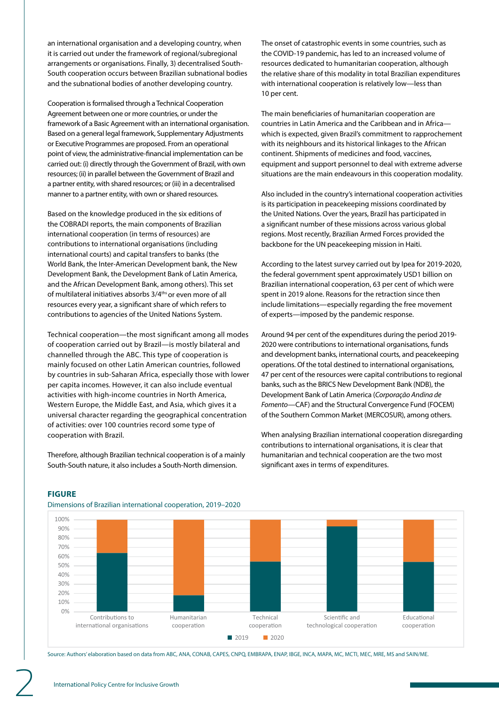an international organisation and a developing country, when it is carried out under the framework of regional/subregional arrangements or organisations. Finally, 3) decentralised South-South cooperation occurs between Brazilian subnational bodies and the subnational bodies of another developing country.

Cooperation is formalised through a Technical Cooperation Agreement between one or more countries, or under the framework of a Basic Agreement with an international organisation. Based on a general legal framework, Supplementary Adjustments or Executive Programmes are proposed. From an operational point of view, the administrative-financial implementation can be carried out: (i) directly through the Government of Brazil, with own resources; (ii) in parallel between the Government of Brazil and a partner entity, with shared resources; or (iii) in a decentralised manner to a partner entity, with own or shared resources.

Based on the knowledge produced in the six editions of the COBRADI reports, the main components of Brazilian international cooperation (in terms of resources) are contributions to international organisations (including international courts) and capital transfers to banks (the World Bank, the Inter-American Development bank, the New Development Bank, the Development Bank of Latin America, and the African Development Bank, among others). This set of multilateral initiatives absorbs 3/4<sup>ths</sup> or even more of all resources every year, a significant share of which refers to contributions to agencies of the United Nations System.

Technical cooperation—the most significant among all modes of cooperation carried out by Brazil—is mostly bilateral and channelled through the ABC. This type of cooperation is mainly focused on other Latin American countries, followed by countries in sub-Saharan Africa, especially those with lower per capita incomes. However, it can also include eventual activities with high-income countries in North America, Western Europe, the Middle East, and Asia, which gives it a universal character regarding the geographical concentration of activities: over 100 countries record some type of cooperation with Brazil.

Therefore, although Brazilian technical cooperation is of a mainly South-South nature, it also includes a South-North dimension.

The onset of catastrophic events in some countries, such as the COVID-19 pandemic, has led to an increased volume of resources dedicated to humanitarian cooperation, although the relative share of this modality in total Brazilian expenditures with international cooperation is relatively low—less than 10 per cent.

The main beneficiaries of humanitarian cooperation are countries in Latin America and the Caribbean and in Africa which is expected, given Brazil's commitment to rapprochement with its neighbours and its historical linkages to the African continent. Shipments of medicines and food, vaccines, equipment and support personnel to deal with extreme adverse situations are the main endeavours in this cooperation modality.

Also included in the country's international cooperation activities is its participation in peacekeeping missions coordinated by the United Nations. Over the years, Brazil has participated in a significant number of these missions across various global regions. Most recently, Brazilian Armed Forces provided the backbone for the UN peacekeeping mission in Haiti.

According to the latest survey carried out by Ipea for 2019-2020, the federal government spent approximately USD1 billion on Brazilian international cooperation, 63 per cent of which were spent in 2019 alone. Reasons for the retraction since then include limitations—especially regarding the free movement of experts—imposed by the pandemic response.

Around 94 per cent of the expenditures during the period 2019- 2020 were contributions to international organisations, funds and development banks, international courts, and peacekeeping operations. Of the total destined to international organisations, 47 per cent of the resources were capital contributions to regional banks, such as the BRICS New Development Bank (NDB), the Development Bank of Latin America (*Corporação Andina de Fomento—*CAF) and the Structural Convergence Fund (FOCEM) of the Southern Common Market (MERCOSUR), among others.

When analysing Brazilian international cooperation disregarding contributions to international organisations, it is clear that humanitarian and technical cooperation are the two most significant axes in terms of expenditures.



# **FIGURE**

Dimensions of Brazilian international cooperation, 2019–2020

Source: Authors' elaboration based on data from ABC, ANA, CONAB, CAPES, CNPQ, EMBRAPA, ENAP, IBGE, INCA, MAPA, MC, MCTI, MEC, MRE, MS and SAIN/ME.